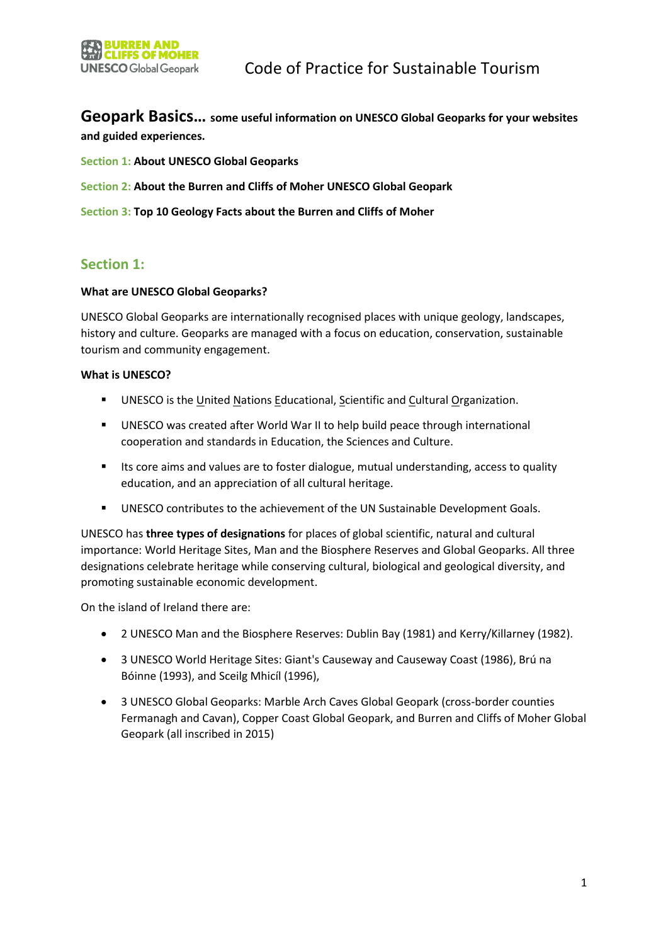**Geopark Basics… some useful information on UNESCO Global Geoparks for your websites and guided experiences.**

- **Section 1: About UNESCO Global Geoparks**
- **Section 2: About the Burren and Cliffs of Moher UNESCO Global Geopark**
- **Section 3: Top 10 Geology Facts about the Burren and Cliffs of Moher**

# **Section 1:**

## **What are UNESCO Global Geoparks?**

UNESCO Global Geoparks are internationally recognised places with unique geology, landscapes, history and culture. Geoparks are managed with a focus on education, conservation, sustainable tourism and community engagement.

## **What is UNESCO?**

- UNESCO is the United Nations Educational, Scientific and Cultural Organization.
- UNESCO was created after World War II to help build peace through international cooperation and standards in Education, the Sciences and Culture.
- **■** Its core aims and values are to foster dialogue, mutual understanding, access to quality education, and an appreciation of all cultural heritage.
- UNESCO contributes to the achievement of the UN Sustainable Development Goals.

UNESCO has **three types of designations** for places of global scientific, natural and cultural importance: World Heritage Sites, Man and the Biosphere Reserves and Global Geoparks. All three designations celebrate heritage while conserving cultural, biological and geological diversity, and promoting sustainable economic development.

On the island of Ireland there are:

- 2 UNESCO Man and the Biosphere Reserves: Dublin Bay (1981) and Kerry/Killarney (1982).
- 3 UNESCO World Heritage Sites: Giant's Causeway and Causeway Coast (1986), Brú na Bóinne (1993), and Sceilg Mhicíl (1996),
- 3 UNESCO Global Geoparks: Marble Arch Caves Global Geopark (cross-border counties Fermanagh and Cavan), Copper Coast Global Geopark, and Burren and Cliffs of Moher Global Geopark (all inscribed in 2015)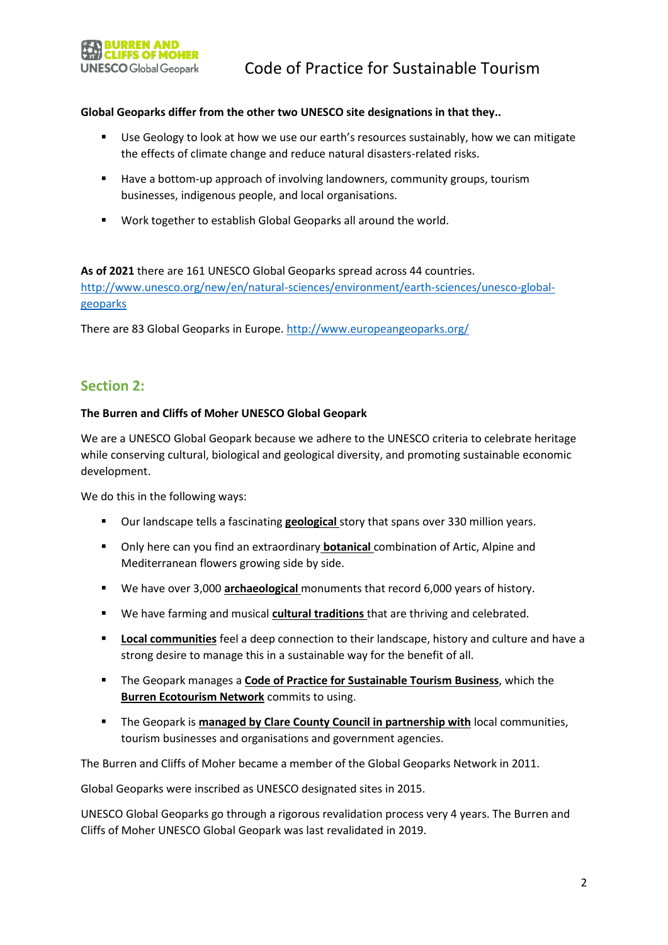

## **Global Geoparks differ from the other two UNESCO site designations in that they..**

- Use Geology to look at how we use our earth's resources sustainably, how we can mitigate the effects of climate change and reduce natural disasters-related risks.
- Have a bottom-up approach of involving landowners, community groups, tourism businesses, indigenous people, and local organisations.
- Work together to establish Global Geoparks all around the world.

# **As of 2021** there are 161 UNESCO Global Geoparks spread across 44 countries.

[http://www.unesco.org/new/en/natural-sciences/environment/earth-sciences/unesco-global](http://www.unesco.org/new/en/natural-sciences/environment/earth-sciences/unesco-global-geoparks)[geoparks](http://www.unesco.org/new/en/natural-sciences/environment/earth-sciences/unesco-global-geoparks)

There are 83 Global Geoparks in Europe[. http://www.europeangeoparks.org/](http://www.europeangeoparks.org/)

# **Section 2:**

#### **The Burren and Cliffs of Moher UNESCO Global Geopark**

We are a UNESCO Global Geopark because we adhere to the UNESCO criteria to celebrate heritage while conserving cultural, biological and geological diversity, and promoting sustainable economic development.

We do this in the following ways:

- Our landscape tells a fascinating **geological** story that spans over 330 million years.
- Only here can you find an extraordinary **botanical** combination of Artic, Alpine and Mediterranean flowers growing side by side.
- We have over 3,000 **archaeological** monuments that record 6,000 years of history.
- We have farming and musical **cultural traditions** that are thriving and celebrated.
- **Local communities** feel a deep connection to their landscape, history and culture and have a strong desire to manage this in a sustainable way for the benefit of all.
- **EXECOFFER 1** The Geopark manages a **Code of Practice for Sustainable Tourism Business**, which the **Burren Ecotourism Network** commits to using.
- The Geopark is **managed by Clare County Council in partnership with** local communities, tourism businesses and organisations and government agencies.

The Burren and Cliffs of Moher became a member of the Global Geoparks Network in 2011.

Global Geoparks were inscribed as UNESCO designated sites in 2015.

UNESCO Global Geoparks go through a rigorous revalidation process very 4 years. The Burren and Cliffs of Moher UNESCO Global Geopark was last revalidated in 2019.